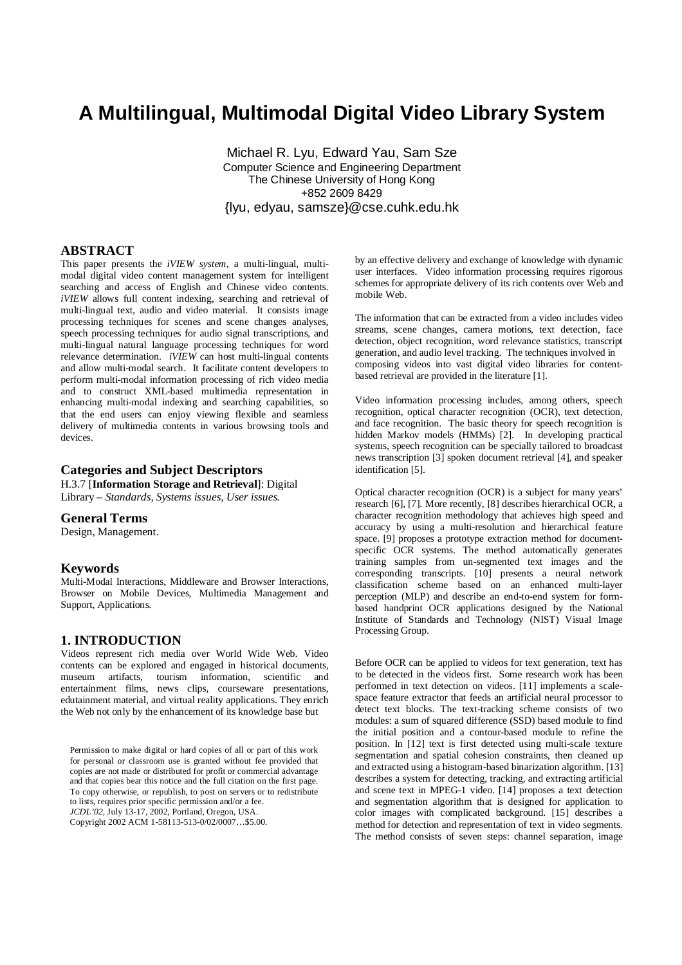# **A Multilingual, Multimodal Digital Video Library System**

Michael R. Lyu, Edward Yau, Sam Sze Computer Science and Engineering Department The Chinese University of Hong Kong +852 2609 8429 {lyu, edyau, samsze}@cse.cuhk.edu.hk

### **ABSTRACT**

This paper presents the *iVIEW system*, a multi-lingual, multimodal digital video content management system for intelligent searching and access of English and Chinese video contents. *iVIEW* allows full content indexing, searching and retrieval of multi-lingual text, audio and video material. It consists image processing techniques for scenes and scene changes analyses, speech processing techniques for audio signal transcriptions, and multi-lingual natural language processing techniques for word relevance determination. *iVIEW* can host multi-lingual contents and allow multi-modal search. It facilitate content developers to perform multi-modal information processing of rich video media and to construct XML-based multimedia representation in enhancing multi-modal indexing and searching capabilities, so that the end users can enjoy viewing flexible and seamless delivery of multimedia contents in various browsing tools and devices.

# **Categories and Subject Descriptors**

H.3.7 [**Information Storage and Retrieval**]: Digital Library – *Standards, Systems issues, User issues.* 

### **General Terms**

Design, Management.

### **Keywords**

Multi-Modal Interactions, Middleware and Browser Interactions, Browser on Mobile Devices, Multimedia Management and Support, Applications.

### **1. INTRODUCTION**

Videos represent rich media over World Wide Web. Video contents can be explored and engaged in historical documents, museum artifacts, tourism information, scientific and entertainment films, news clips, courseware presentations, edutainment material, and virtual reality applications. They enrich the Web not only by the enhancement of its knowledge base but

Permission to make digital or hard copies of all or part of this work for personal or classroom use is granted without fee provided that copies are not made or distributed for profit or commercial advantage and that copies bear this notice and the full citation on the first page. To copy otherwise, or republish, to post on servers or to redistribute to lists, requires prior specific permission and/or a fee. *JCDL'02,* July 13-17, 2002, Portland, Oregon, USA. Copyright 2002 ACM 1-58113-513-0/02/0007…\$5.00.

by an effective delivery and exchange of knowledge with dynamic user interfaces. Video information processing requires rigorous schemes for appropriate delivery of its rich contents over Web and mobile Web.

The information that can be extracted from a video includes video streams, scene changes, camera motions, text detection, face detection, object recognition, word relevance statistics, transcript generation, and audio level tracking. The techniques involved in composing videos into vast digital video libraries for contentbased retrieval are provided in the literature [1].

Video information processing includes, among others, speech recognition, optical character recognition (OCR), text detection, and face recognition. The basic theory for speech recognition is hidden Markov models (HMMs) [2]. In developing practical systems, speech recognition can be specially tailored to broadcast news transcription [3] spoken document retrieval [4], and speaker identification [5].

Optical character recognition (OCR) is a subject for many years' research [6], [7]. More recently, [8] describes hierarchical OCR, a character recognition methodology that achieves high speed and accuracy by using a multi-resolution and hierarchical feature space. [9] proposes a prototype extraction method for documentspecific OCR systems. The method automatically generates training samples from un-segmented text images and the corresponding transcripts. [10] presents a neural network classification scheme based on an enhanced multi-layer perception (MLP) and describe an end-to-end system for formbased handprint OCR applications designed by the National Institute of Standards and Technology (NIST) Visual Image Processing Group.

Before OCR can be applied to videos for text generation, text has to be detected in the videos first. Some research work has been performed in text detection on videos. [11] implements a scalespace feature extractor that feeds an artificial neural processor to detect text blocks. The text-tracking scheme consists of two modules: a sum of squared difference (SSD) based module to find the initial position and a contour-based module to refine the position. In [12] text is first detected using multi-scale texture segmentation and spatial cohesion constraints, then cleaned up and extracted using a histogram-based binarization algorithm. [13] describes a system for detecting, tracking, and extracting artificial and scene text in MPEG-1 video. [14] proposes a text detection and segmentation algorithm that is designed for application to color images with complicated background. [15] describes a method for detection and representation of text in video segments. The method consists of seven steps: channel separation, image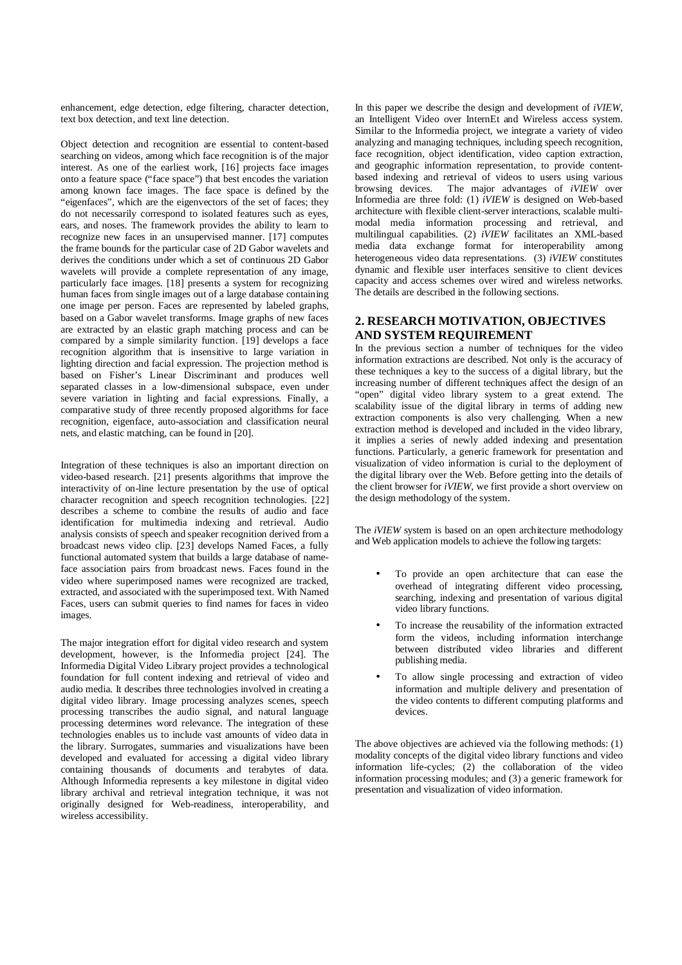enhancement, edge detection, edge filtering, character detection, text box detection, and text line detection.

Object detection and recognition are essential to content-based searching on videos, among which face recognition is of the major interest. As one of the earliest work, [16] projects face images onto a feature space ("face space") that best encodes the variation among known face images. The face space is defined by the "eigenfaces", which are the eigenvectors of the set of faces; they do not necessarily correspond to isolated features such as eyes, ears, and noses. The framework provides the ability to learn to recognize new faces in an unsupervised manner. [17] computes the frame bounds for the particular case of 2D Gabor wavelets and derives the conditions under which a set of continuous 2D Gabor wavelets will provide a complete representation of any image, particularly face images. [18] presents a system for recognizing human faces from single images out of a large database containing one image per person. Faces are represented by labeled graphs, based on a Gabor wavelet transforms. Image graphs of new faces are extracted by an elastic graph matching process and can be compared by a simple similarity function. [19] develops a face recognition algorithm that is insensitive to large variation in lighting direction and facial expression. The projection method is based on Fisher's Linear Discriminant and produces well separated classes in a low-dimensional subspace, even under severe variation in lighting and facial expressions. Finally, a comparative study of three recently proposed algorithms for face recognition, eigenface, auto-association and classification neural nets, and elastic matching, can be found in [20].

Integration of these techniques is also an important direction on video-based research. [21] presents algorithms that improve the interactivity of on-line lecture presentation by the use of optical character recognition and speech recognition technologies. [22] describes a scheme to combine the results of audio and face identification for multimedia indexing and retrieval. Audio analysis consists of speech and speaker recognition derived from a broadcast news video clip. [23] develops Named Faces, a fully functional automated system that builds a large database of nameface association pairs from broadcast news. Faces found in the video where superimposed names were recognized are tracked, extracted, and associated with the superimposed text. With Named Faces, users can submit queries to find names for faces in video images.

The major integration effort for digital video research and system development, however, is the Informedia project [24]. The Informedia Digital Video Library project provides a technological foundation for full content indexing and retrieval of video and audio media. It describes three technologies involved in creating a digital video library. Image processing analyzes scenes, speech processing transcribes the audio signal, and natural language processing determines word relevance. The integration of these technologies enables us to include vast amounts of video data in the library. Surrogates, summaries and visualizations have been developed and evaluated for accessing a digital video library containing thousands of documents and terabytes of data. Although Informedia represents a key milestone in digital video library archival and retrieval integration technique, it was not originally designed for Web-readiness, interoperability, and wireless accessibility.

In this paper we describe the design and development of *iVIEW*, an Intelligent Video over InternEt and Wireless access system. Similar to the Informedia project, we integrate a variety of video analyzing and managing techniques, including speech recognition, face recognition, object identification, video caption extraction, and geographic information representation, to provide contentbased indexing and retrieval of videos to users using various browsing devices. The major advantages of *iVIEW* over The major advantages of *iVIEW* over Informedia are three fold: (1) *iVIEW* is designed on Web-based architecture with flexible client-server interactions, scalable multimodal media information processing and retrieval, and multilingual capabilities. (2) *iVIEW* facilitates an XML-based media data exchange format for interoperability among heterogeneous video data representations. (3) *iVIEW* constitutes dynamic and flexible user interfaces sensitive to client devices capacity and access schemes over wired and wireless networks. The details are described in the following sections.

### **2. RESEARCH MOTIVATION, OBJECTIVES AND SYSTEM REQUIREMENT**

In the previous section a number of techniques for the video information extractions are described. Not only is the accuracy of these techniques a key to the success of a digital library, but the increasing number of different techniques affect the design of an "open" digital video library system to a great extend. The scalability issue of the digital library in terms of adding new extraction components is also very challenging. When a new extraction method is developed and included in the video library, it implies a series of newly added indexing and presentation functions. Particularly, a generic framework for presentation and visualization of video information is curial to the deployment of the digital library over the Web. Before getting into the details of the client browser for *iVIEW*, we first provide a short overview on the design methodology of the system.

The *iVIEW* system is based on an open architecture methodology and Web application models to achieve the following targets:

- To provide an open architecture that can ease the overhead of integrating different video processing, searching, indexing and presentation of various digital video library functions.
- To increase the reusability of the information extracted form the videos, including information interchange between distributed video libraries and different publishing media.
- To allow single processing and extraction of video information and multiple delivery and presentation of the video contents to different computing platforms and devices.

The above objectives are achieved via the following methods: (1) modality concepts of the digital video library functions and video information life-cycles; (2) the collaboration of the video information processing modules; and (3) a generic framework for presentation and visualization of video information.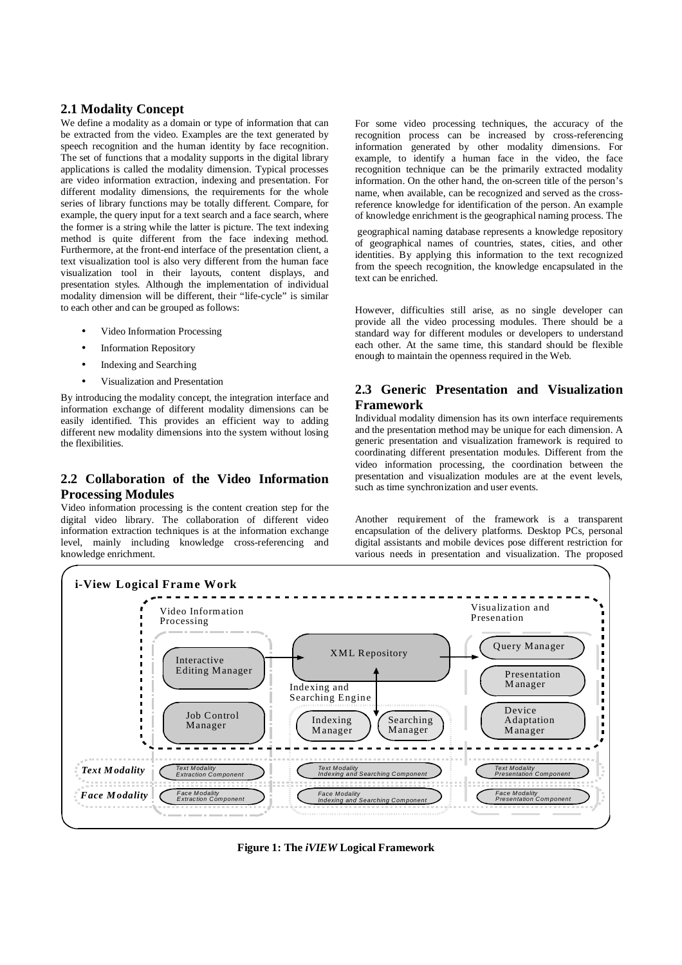# **2.1 Modality Concept**

We define a modality as a domain or type of information that can be extracted from the video. Examples are the text generated by speech recognition and the human identity by face recognition. The set of functions that a modality supports in the digital library applications is called the modality dimension. Typical processes are video information extraction, indexing and presentation. For different modality dimensions, the requirements for the whole series of library functions may be totally different. Compare, for example, the query input for a text search and a face search, where the former is a string while the latter is picture. The text indexing method is quite different from the face indexing method. Furthermore, at the front-end interface of the presentation client, a text visualization tool is also very different from the human face visualization tool in their layouts, content displays, and presentation styles. Although the implementation of individual modality dimension will be different, their "life-cycle" is similar to each other and can be grouped as follows:

- Video Information Processing
- **Information Repository**
- Indexing and Searching
- Visualization and Presentation

By introducing the modality concept, the integration interface and information exchange of different modality dimensions can be easily identified. This provides an efficient way to adding different new modality dimensions into the system without losing the flexibilities.

# **2.2 Collaboration of the Video Information Processing Modules**

Video information processing is the content creation step for the digital video library. The collaboration of different video information extraction techniques is at the information exchange level, mainly including knowledge cross-referencing and knowledge enrichment.

For some video processing techniques, the accuracy of the recognition process can be increased by cross-referencing information generated by other modality dimensions. For example, to identify a human face in the video, the face recognition technique can be the primarily extracted modality information. On the other hand, the on-screen title of the person's name, when available, can be recognized and served as the crossreference knowledge for identification of the person. An example of knowledge enrichment is the geographical naming process. The

 geographical naming database represents a knowledge repository of geographical names of countries, states, cities, and other identities. By applying this information to the text recognized from the speech recognition, the knowledge encapsulated in the text can be enriched.

However, difficulties still arise, as no single developer can provide all the video processing modules. There should be a standard way for different modules or developers to understand each other. At the same time, this standard should be flexible enough to maintain the openness required in the Web.

# **2.3 Generic Presentation and Visualization Framework**

Individual modality dimension has its own interface requirements and the presentation method may be unique for each dimension. A generic presentation and visualization framework is required to coordinating different presentation modules. Different from the video information processing, the coordination between the presentation and visualization modules are at the event levels, such as time synchronization and user events.

Another requirement of the framework is a transparent encapsulation of the delivery platforms. Desktop PCs, personal digital assistants and mobile devices pose different restriction for various needs in presentation and visualization. The proposed



**Figure 1: The** *iVIEW* **Logical Framework**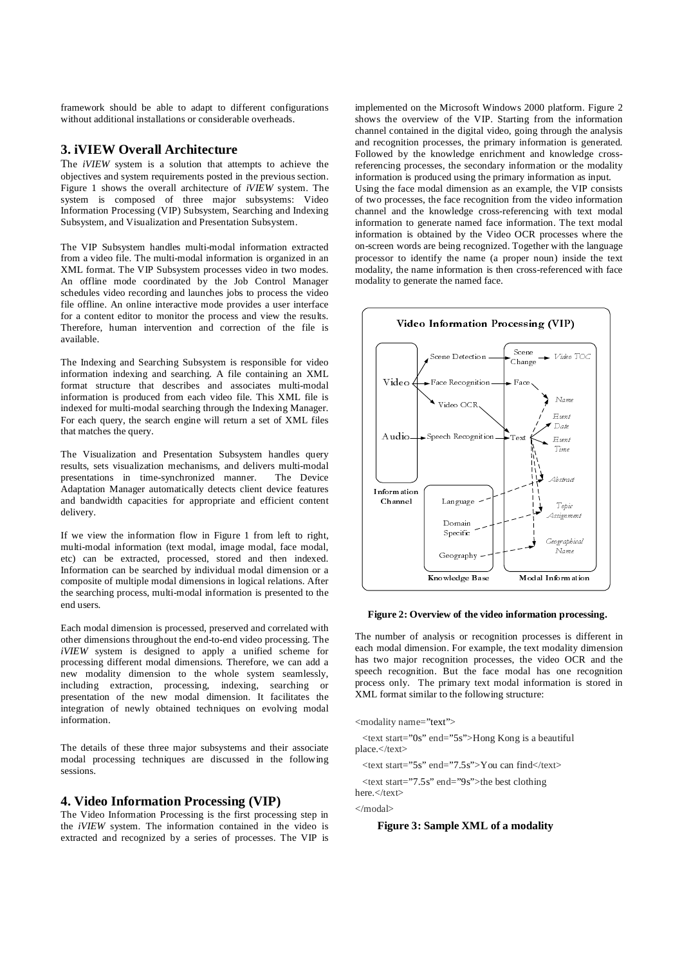framework should be able to adapt to different configurations without additional installations or considerable overheads.

# **3. iVIEW Overall Architecture**

The *iVIEW* system is a solution that attempts to achieve the objectives and system requirements posted in the previous section. Figure 1 shows the overall architecture of *iVIEW* system. The system is composed of three major subsystems: Video Information Processing (VIP) Subsystem, Searching and Indexing Subsystem, and Visualization and Presentation Subsystem.

The VIP Subsystem handles multi-modal information extracted from a video file. The multi-modal information is organized in an XML format. The VIP Subsystem processes video in two modes. An offline mode coordinated by the Job Control Manager schedules video recording and launches jobs to process the video file offline. An online interactive mode provides a user interface for a content editor to monitor the process and view the results. Therefore, human intervention and correction of the file is available.

The Indexing and Searching Subsystem is responsible for video information indexing and searching. A file containing an XML format structure that describes and associates multi-modal information is produced from each video file. This XML file is indexed for multi-modal searching through the Indexing Manager. For each query, the search engine will return a set of XML files that matches the query.

The Visualization and Presentation Subsystem handles query results, sets visualization mechanisms, and delivers multi-modal presentations in time-synchronized manner. Adaptation Manager automatically detects client device features and bandwidth capacities for appropriate and efficient content delivery.

If we view the information flow in Figure 1 from left to right, multi-modal information (text modal, image modal, face modal, etc) can be extracted, processed, stored and then indexed. Information can be searched by individual modal dimension or a composite of multiple modal dimensions in logical relations. After the searching process, multi-modal information is presented to the end users.

Each modal dimension is processed, preserved and correlated with other dimensions throughout the end-to-end video processing. The *iVIEW* system is designed to apply a unified scheme for processing different modal dimensions. Therefore, we can add a new modality dimension to the whole system seamlessly, including extraction, processing, indexing, searching or presentation of the new modal dimension. It facilitates the integration of newly obtained techniques on evolving modal information.

The details of these three major subsystems and their associate modal processing techniques are discussed in the following sessions.

#### **4. Video Information Processing (VIP)**

The Video Information Processing is the first processing step in the *iVIEW* system. The information contained in the video is extracted and recognized by a series of processes. The VIP is implemented on the Microsoft Windows 2000 platform. Figure 2 shows the overview of the VIP. Starting from the information channel contained in the digital video, going through the analysis and recognition processes, the primary information is generated. Followed by the knowledge enrichment and knowledge crossreferencing processes, the secondary information or the modality information is produced using the primary information as input.

Using the face modal dimension as an example, the VIP consists of two processes, the face recognition from the video information channel and the knowledge cross-referencing with text modal information to generate named face information. The text modal information is obtained by the Video OCR processes where the on-screen words are being recognized. Together with the language processor to identify the name (a proper noun) inside the text modality, the name information is then cross-referenced with face modality to generate the named face.



**Figure 2: Overview of the video information processing.**

The number of analysis or recognition processes is different in each modal dimension. For example, the text modality dimension has two major recognition processes, the video OCR and the speech recognition. But the face modal has one recognition process only. The primary text modal information is stored in XML format similar to the following structure:

<modality name="text">

 <text start="0s" end="5s">Hong Kong is a beautiful place.</text>

 $\langle$ text start="5s" end="7.5s">You can find $\langle$ /text>

 <text start="7.5s" end="9s">the best clothing here  $\epsilon$ /text $\epsilon$ 

</modal>

#### **Figure 3: Sample XML of a modality**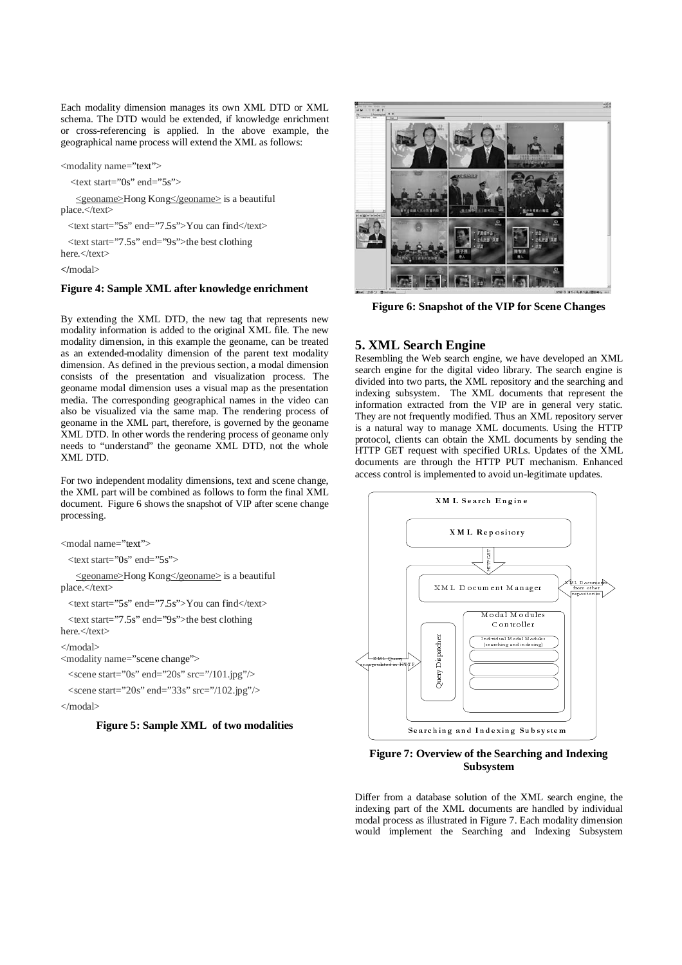Each modality dimension manages its own XML DTD or XML schema. The DTD would be extended, if knowledge enrichment or cross-referencing is applied. In the above example, the geographical name process will extend the XML as follows:

<modality name="text">

<text start="0s" end="5s">

 <geoname>Hong Kong</geoname> is a beautiful place.</text>

 $\langle$ text start="5s" end="7.5s">You can find $\langle$ text>

 <text start="7.5s" end="9s">the best clothing here.</text>

**</**modal>

#### **Figure 4: Sample XML after knowledge enrichment**

By extending the XML DTD, the new tag that represents new modality information is added to the original XML file. The new modality dimension, in this example the geoname, can be treated as an extended-modality dimension of the parent text modality dimension. As defined in the previous section, a modal dimension consists of the presentation and visualization process. The geoname modal dimension uses a visual map as the presentation media. The corresponding geographical names in the video can also be visualized via the same map. The rendering process of geoname in the XML part, therefore, is governed by the geoname XML DTD. In other words the rendering process of geoname only needs to "understand" the geoname XML DTD, not the whole XML DTD.

For two independent modality dimensions, text and scene change, the XML part will be combined as follows to form the final XML document. Figure 6 shows the snapshot of VIP after scene change processing.

<modal name="text">

 $\text{const}$  start="0s" end="5s">

 <geoname>Hong Kong</geoname> is a beautiful place.</text>

<text start="5s" end="7.5s">You can find</text>

 <text start="7.5s" end="9s">the best clothing here $\epsilon$ /text $\epsilon$ 

</modal>

<modality name="scene change">

 $\le$ scene start="0s" end="20s" src="/101.jpg"/>

 $\le$ scene start="20s" end="33s" src="/102.jpg"/> </modal>

#### **Figure 5: Sample XML of two modalities**



**Figure 6: Snapshot of the VIP for Scene Changes** 

### **5. XML Search Engine**

Resembling the Web search engine, we have developed an XML search engine for the digital video library. The search engine is divided into two parts, the XML repository and the searching and indexing subsystem. The XML documents that represent the information extracted from the VIP are in general very static. They are not frequently modified. Thus an XML repository server is a natural way to manage XML documents. Using the HTTP protocol, clients can obtain the XML documents by sending the HTTP GET request with specified URLs. Updates of the XML documents are through the HTTP PUT mechanism. Enhanced access control is implemented to avoid un-legitimate updates.



### **Figure 7: Overview of the Searching and Indexing Subsystem**

Searching and Subsystem<br>
Subsystem<br>
Subsystem<br>
A database solution of the XML searching and<br>
Subsystem<br>
A database solution of the XML search<br>
Searching and Indexin<br>
Searching and Indexin<br>
Searching and Indexin Differ from a database solution of the XML search engine, the indexing part of the XML documents are handled by individual modal process as illustrated in Figure 7. Each modality dimension would implement the Searching and Indexing Subsystem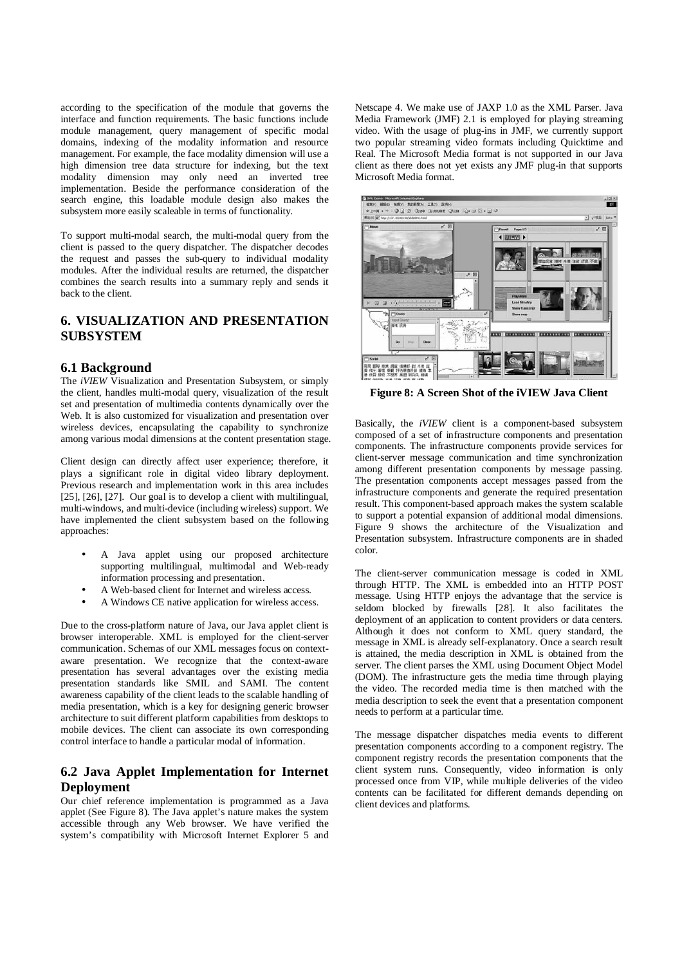according to the specification of the module that governs the interface and function requirements. The basic functions include module management, query management of specific modal domains, indexing of the modality information and resource management. For example, the face modality dimension will use a high dimension tree data structure for indexing, but the text modality dimension may only need an inverted tree implementation. Beside the performance consideration of the search engine, this loadable module design also makes the subsystem more easily scaleable in terms of functionality.

To support multi-modal search, the multi-modal query from the client is passed to the query dispatcher. The dispatcher decodes the request and passes the sub-query to individual modality modules. After the individual results are returned, the dispatcher combines the search results into a summary reply and sends it back to the client.

# **6. VISUALIZATION AND PRESENTATION SUBSYSTEM**

#### **6.1 Background**

The *iVIEW* Visualization and Presentation Subsystem, or simply the client, handles multi-modal query, visualization of the result set and presentation of multimedia contents dynamically over the Web. It is also customized for visualization and presentation over wireless devices, encapsulating the capability to synchronize among various modal dimensions at the content presentation stage.

Client design can directly affect user experience; therefore, it plays a significant role in digital video library deployment. Previous research and implementation work in this area includes [25], [26], [27]. Our goal is to develop a client with multilingual, multi-windows, and multi-device (including wireless) support. We have implemented the client subsystem based on the following approaches:

- A Java applet using our proposed architecture supporting multilingual, multimodal and Web-ready information processing and presentation.
- A Web-based client for Internet and wireless access.
- A Windows CE native application for wireless access.

Due to the cross-platform nature of Java, our Java applet client is browser interoperable. XML is employed for the client-server communication. Schemas of our XML messages focus on contextaware presentation. We recognize that the context-aware presentation has several advantages over the existing media presentation standards like SMIL and SAMI. The content awareness capability of the client leads to the scalable handling of media presentation, which is a key for designing generic browser architecture to suit different platform capabilities from desktops to mobile devices. The client can associate its own corresponding control interface to handle a particular modal of information.

# **6.2 Java Applet Implementation for Internet Deployment**

Our chief reference implementation is programmed as a Java applet (See Figure 8). The Java applet's nature makes the system accessible through any Web browser. We have verified the system's compatibility with Microsoft Internet Explorer 5 and Netscape 4. We make use of JAXP 1.0 as the XML Parser. Java Media Framework (JMF) 2.1 is employed for playing streaming video. With the usage of plug-ins in JMF, we currently support two popular streaming video formats including Quicktime and Real. The Microsoft Media format is not supported in our Java client as there does not yet exists any JMF plug-in that supports Microsoft Media format.



**Figure 8: A Screen Shot of the iVIEW Java Client** 

Basically, the *iVIEW* client is a component-based subsystem composed of a set of infrastructure components and presentation components. The infrastructure components provide services for client-server message communication and time synchronization among different presentation components by message passing. The presentation components accept messages passed from the infrastructure components and generate the required presentation result. This component-based approach makes the system scalable to support a potential expansion of additional modal dimensions. Figure 9 shows the architecture of the Visualization and Presentation subsystem. Infrastructure components are in shaded color.

The client-server communication message is coded in XML through HTTP. The XML is embedded into an HTTP POST message. Using HTTP enjoys the advantage that the service is seldom blocked by firewalls [28]. It also facilitates the deployment of an application to content providers or data centers. Although it does not conform to XML query standard, the message in XML is already self-explanatory. Once a search result is attained, the media description in XML is obtained from the server. The client parses the XML using Document Object Model (DOM). The infrastructure gets the media time through playing the video. The recorded media time is then matched with the media description to seek the event that a presentation component needs to perform at a particular time.

The message dispatcher dispatches media events to different presentation components according to a component registry. The component registry records the presentation components that the client system runs. Consequently, video information is only processed once from VIP, while multiple deliveries of the video contents can be facilitated for different demands depending on client devices and platforms.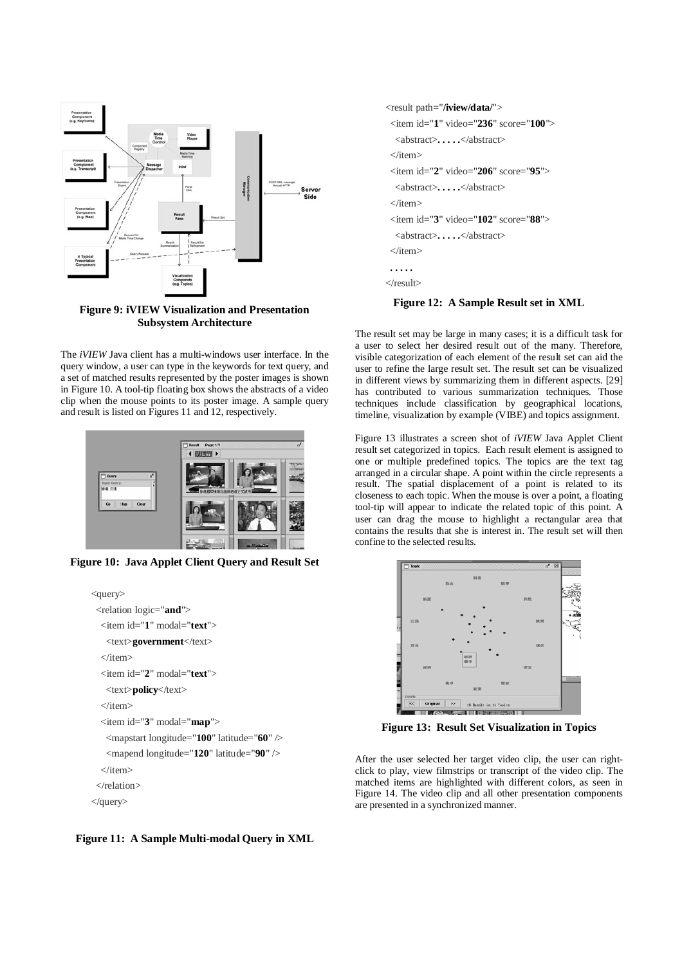

**Figure 9: iVIEW Visualization and Presentation Subsystem Architecture** 

The *iVIEW* Java client has a multi-windows user interface. In the query window, a user can type in the keywords for text query, and a set of matched results represented by the poster images is shown in Figure 10. A tool-tip floating box shows the abstracts of a video clip when the mouse points to its poster image. A sample query and result is listed on Figures 11 and 12, respectively.



**Figure 10: Java Applet Client Query and Result Set** 

```
<query>
  <relation logic="and">
   <item id="1" modal="text">
    <text>government</text> 
  \epsilon/item>
   <item id="2" modal="text">
    <text>policy</text> 
  \langleitem\rangle <item id="3" modal="map">
    <mapstart longitude="100" latitude="60" /> 
    <mapend longitude="120" latitude="90" /> 
   </item>
  </relation>
</query>
```
**Figure 11: A Sample Multi-modal Query in XML**

```
<result path="/iview/data/">
  <item id="1" video="236" score="100">
   <abstract>. . . . .</abstract> 
  </item>
  <item id="2" video="206" score="95">
   <abstract>. . . . .</abstract> 
  </item>
  <item id="3" video="102" score="88">
   <abstract>. . . . .</abstract> 
 \epsilon/item\epsilon . . . . . 
</result>
```
#### **Figure 12: A Sample Result set in XML**

The result set may be large in many cases; it is a difficult task for a user to select her desired result out of the many. Therefore, visible categorization of each element of the result set can aid the user to refine the large result set. The result set can be visualized in different views by summarizing them in different aspects. [29] has contributed to various summarization techniques. Those techniques include classification by geographical locations, timeline, visualization by example (VIBE) and topics assignment.

Figure 13 illustrates a screen shot of *iVIEW* Java Applet Client result set categorized in topics. Each result element is assigned to one or multiple predefined topics. The topics are the text tag arranged in a circular shape. A point within the circle represents a result. The spatial displacement of a point is related to its closeness to each topic. When the mouse is over a point, a floating tool-tip will appear to indicate the related topic of this point. A user can drag the mouse to highlight a rectangular area that contains the results that she is interest in. The result set will then confine to the selected results.



**Figure 13: Result Set Visualization in Topics**

After the user selected her target video clip, the user can rightclick to play, view filmstrips or transcript of the video clip. The matched items are highlighted with different colors, as seen in Figure 14. The video clip and all other presentation components are presented in a synchronized manner.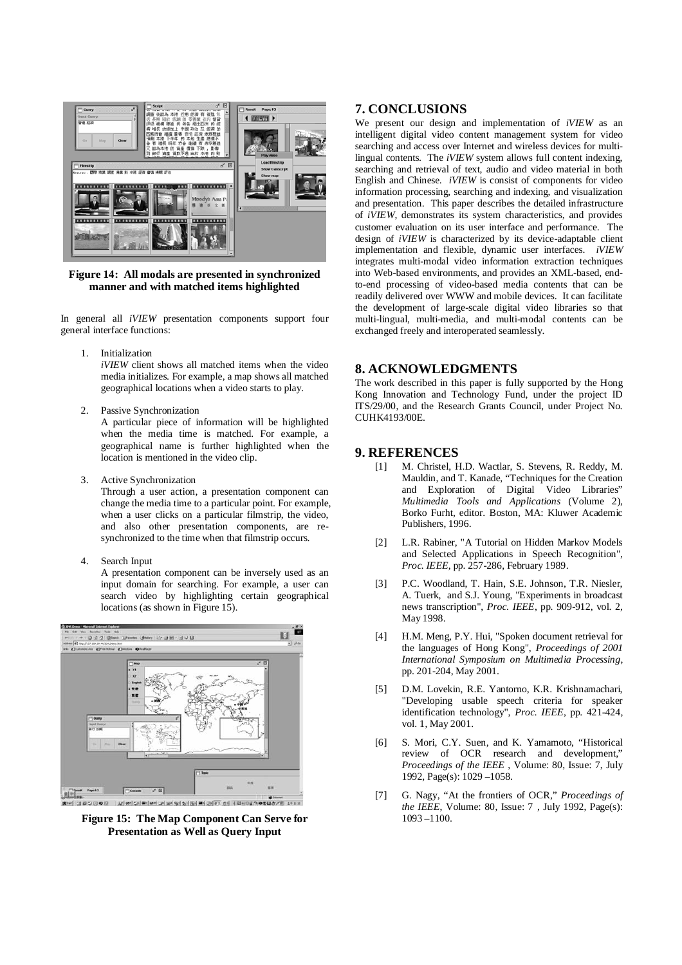

**Figure 14: All modals are presented in synchronized manner and with matched items highlighted** 

In general all *iVIEW* presentation components support four general interface functions:

1. Initialization

*iVIEW* client shows all matched items when the video media initializes. For example, a map shows all matched geographical locations when a video starts to play.

2. Passive Synchronization

A particular piece of information will be highlighted when the media time is matched. For example, a geographical name is further highlighted when the location is mentioned in the video clip.

3. Active Synchronization

Through a user action, a presentation component can change the media time to a particular point. For example, when a user clicks on a particular filmstrip, the video, and also other presentation components, are resynchronized to the time when that filmstrip occurs.

4. Search Input

A presentation component can be inversely used as an input domain for searching. For example, a user can search video by highlighting certain geographical locations (as shown in Figure 15).



**Figure 15: The Map Component Can Serve for Presentation as Well as Query Input** 

## **7. CONCLUSIONS**

We present our design and implementation of *iVIEW* as an intelligent digital video content management system for video searching and access over Internet and wireless devices for multilingual contents. The *iVIEW* system allows full content indexing, searching and retrieval of text, audio and video material in both English and Chinese. *iVIEW* is consist of components for video information processing, searching and indexing, and visualization and presentation. This paper describes the detailed infrastructure of *iVIEW*, demonstrates its system characteristics, and provides customer evaluation on its user interface and performance. The design of *iVIEW* is characterized by its device-adaptable client implementation and flexible, dynamic user interfaces. *iVIEW* integrates multi-modal video information extraction techniques into Web-based environments, and provides an XML-based, endto-end processing of video-based media contents that can be readily delivered over WWW and mobile devices. It can facilitate the development of large-scale digital video libraries so that multi-lingual, multi-media, and multi-modal contents can be exchanged freely and interoperated seamlessly.

# **8. ACKNOWLEDGMENTS**

The work described in this paper is fully supported by the Hong Kong Innovation and Technology Fund, under the project ID ITS/29/00, and the Research Grants Council, under Project No. CUHK4193/00E.

### **9. REFERENCES**

- [1] M. Christel, H.D. Wactlar, S. Stevens, R. Reddy, M. Mauldin, and T. Kanade, "Techniques for the Creation and Exploration of Digital Video Libraries" *Multimedia Tools and Applications* (Volume 2), Borko Furht, editor. Boston, MA: Kluwer Academic Publishers, 1996.
- [2] L.R. Rabiner, "A Tutorial on Hidden Markov Models and Selected Applications in Speech Recognition", *Proc. IEEE*, pp. 257-286, February 1989.
- [3] P.C. Woodland, T. Hain, S.E. Johnson, T.R. Niesler, A. Tuerk, and S.J. Young, "Experiments in broadcast news transcription", *Proc. IEEE*, pp. 909-912, vol. 2, May 1998.
- [4] H.M. Meng, P.Y. Hui, "Spoken document retrieval for the languages of Hong Kong", *Proceedings of 2001 International Symposium on Multimedia Processing*, pp. 201-204, May 2001.
- [5] D.M. Lovekin, R.E. Yantorno, K.R. Krishnamachari, "Developing usable speech criteria for speaker identification technology", *Proc. IEEE*, pp. 421-424, vol. 1, May 2001.
- [6] S. Mori, C.Y. Suen, and K. Yamamoto, "Historical review of OCR research and development," *Proceedings of the IEEE* , Volume: 80, Issue: 7, July 1992, Page(s): 1029 –1058.
- [7] G. Nagy, "At the frontiers of OCR," *Proceedings of the IEEE*, Volume: 80, Issue: 7 , July 1992, Page(s): 1093 –1100.